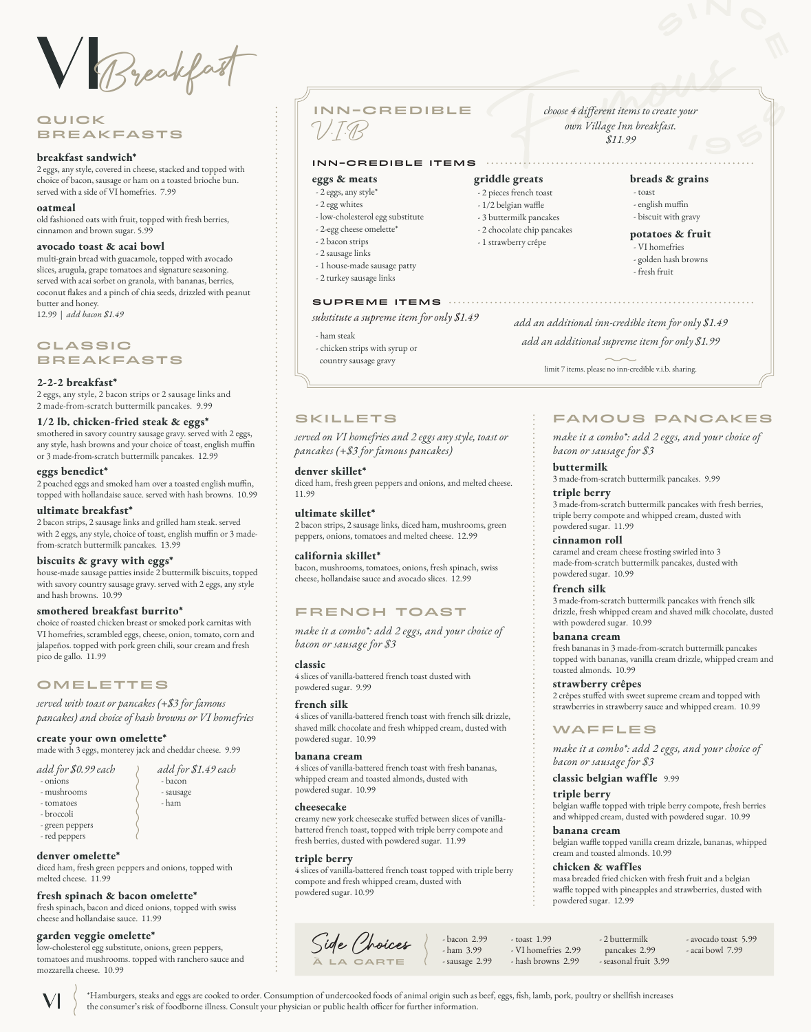Breakfast

# **QUICK** BREAKFASTS

#### **breakfast sandwich\***

2 eggs, any style, covered in cheese, stacked and topped with choice of bacon, sausage or ham on a toasted brioche bun. served with a side of VI homefries. 7.99

#### **oatmeal**

old fashioned oats with fruit, topped with fresh berries, cinnamon and brown sugar. 5.99

#### **avocado toast & acai bowl**

multi-grain bread with guacamole, topped with avocado slices, arugula, grape tomatoes and signature seasoning. served with acai sorbet on granola, with bananas, berries, coconut flakes and a pinch of chia seeds, drizzled with peanut butter and honey.

12.99 | *add bacon \$1.49*

## **CLASSIC** BREAKFASTS

#### **2‑2‑2 breakfast\***

2 eggs, any style, 2 bacon strips or 2 sausage links and 2 made-from-scratch buttermilk pancakes. 9.99

#### **1/2 lb. chicken‑fried steak & eggs\***

smothered in savory country sausage gravy. served with 2 eggs, any style, hash browns and your choice of toast, english muffin or 3 made-from-scratch buttermilk pancakes. 12.99

### **eggs benedict\***

2 poached eggs and smoked ham over a toasted english muffin, topped with hollandaise sauce. served with hash browns. 10.99

#### **ultimate breakfast\***

2 bacon strips, 2 sausage links and grilled ham steak. served with 2 eggs, any style, choice of toast, english muffin or 3 madefrom-scratch buttermilk pancakes. 13.99

#### **biscuits & gravy with eggs\***

house-made sausage patties inside 2 buttermilk biscuits, topped with savory country sausage gravy. served with 2 eggs, any style and hash browns. 10.99

#### **smothered breakfast burrito\***

choice of roasted chicken breast or smoked pork carnitas with VI homefries, scrambled eggs, cheese, onion, tomato, corn and jalapeños. topped with pork green chili, sour cream and fresh pico de gallo. 11.99

# **OMELETTES**

*served with toast or pancakes (+\$3 for famous pancakes) and choice of hash browns or VI homefries*

#### **create your own omelette\***

made with 3 eggs, monterey jack and cheddar cheese. 9.99

*add for \$1.49 each*

 - bacon - sausage - ham

| add for \$0.99 each |  |  |  |
|---------------------|--|--|--|
|                     |  |  |  |

- onions
- mushrooms
- tomatoes

- broccoli

 $\blacktriangledown$ 

 - green peppers - red peppers

#### **denver omelette\***

diced ham, fresh green peppers and onions, topped with melted cheese. 11.99

# **fresh spinach & bacon omelette\***

fresh spinach, bacon and diced onions, topped with swiss cheese and hollandaise sauce. 11.99

#### **garden veggie omelette\***

low-cholesterol egg substitute, onions, green peppers, tomatoes and mushrooms. topped with ranchero sauce and mozzarella cheese. 10.99

INN-CREDIBLE

#### INN-CREDIBLE ITEMS

#### **eggs & meats**

V.I.B

- 2 eggs, any style\*
- 2 egg whites
- low-cholesterol egg substitute
- 2-egg cheese omelette\* - 2 bacon strips
- 
- 2 sausage links
- 1 house-made sausage patty - 2 turkey sausage links

#### SUPREME ITEMS  $\cdots$

*substitute a supreme item for only \$1.49*

#### - ham steak

- chicken strips with syrup or
- country sausage gravy

## SKILLETS

*served on VI homefries and 2 eggs any style, toast or pancakes (+\$3 for famous pancakes)* 

#### **denver skillet\***

diced ham, fresh green peppers and onions, and melted cheese. 11.99

# **ultimate skillet\***

2 bacon strips, 2 sausage links, diced ham, mushrooms, green peppers, onions, tomatoes and melted cheese. 12.99

#### **california skillet\***

bacon, mushrooms, tomatoes, onions, fresh spinach, swiss cheese, hollandaise sauce and avocado slices. 12.99

# FRENCH TOAST

*make it a combo\*: add 2 eggs, and your choice of bacon or sausage for \$3*

#### **classic**

4 slices of vanilla-battered french toast dusted with powdered sugar. 9.99

#### **french silk**

4 slices of vanilla-battered french toast with french silk drizzle, shaved milk chocolate and fresh whipped cream, dusted with powdered sugar. 10.99

#### **banana cream**

4 slices of vanilla-battered french toast with fresh bananas, whipped cream and toasted almonds, dusted with powdered sugar. 10.99

#### **cheesecake**

creamy new york cheesecake stuffed between slices of vanillabattered french toast, topped with triple berry compote and fresh berries, dusted with powdered sugar. 11.99

#### **triple berry**

the consumer's risk of foodborne illness. Consult your physician or public health officer for further information.

4 slices of vanilla-battered french toast topped with triple berry compote and fresh whipped cream, dusted with powdered sugar. 10.99

> - bacon 2.99 - ham 3.99 - sausage 2.99

- toast 1.99 - VI homefries 2.99 - hash browns 2.99



\*Hamburgers, steaks and eggs are cooked to order. Consumption of undercooked foods of animal origin such as beef, eggs, fish, lamb, pork, poultry or shellfish increases

*choose 4 different items to create your own Village Inn breakfast. \$11.99*

# **griddle greats**

- 2 pieces french toast
- 1/2 belgian waffle
- 3 buttermilk pancakes
- 2 chocolate chip pancakes
- 1 strawberry crêpe

*add an additional inn-credible item for only \$1.49*

*add an additional supreme item for only \$1.99*

limit 7 items. please no inn-credible v.i.b. sharing.

# FAMOUS PANCAKES

**breads & grains**

 - english muffin - biscuit with gravy **potatoes & fruit** - VI homefries - golden hash browns

- fresh fruit

- toast

*make it a combo\*: add 2 eggs, and your choice of bacon or sausage for \$3*

**buttermilk** 3 made-from-scratch buttermilk pancakes. 9.99

**triple berry** 3 made-from-scratch buttermilk pancakes with fresh berries, triple berry compote and whipped cream, dusted with powdered sugar. 11.99

### **cinnamon roll**

caramel and cream cheese frosting swirled into 3 made-from-scratch buttermilk pancakes, dusted with powdered sugar. 10.99

#### **french silk**

3 made-from-scratch buttermilk pancakes with french silk drizzle, fresh whipped cream and shaved milk chocolate, dusted with powdered sugar. 10.99

### **banana cream**

fresh bananas in 3 made-from-scratch buttermilk pancakes topped with bananas, vanilla cream drizzle, whipped cream and toasted almonds. 10.99

#### **strawberry crêpes**

2 crêpes stuffed with sweet supreme cream and topped with strawberries in strawberry sauce and whipped cream. 10.99

# WAFFLES

*make it a combo\*: add 2 eggs, and your choice of bacon or sausage for \$3*

belgian waffle topped with triple berry compote, fresh berries and whipped cream, dusted with powdered sugar. 10.99

belgian waffle topped vanilla cream drizzle, bananas, whipped

masa breaded fried chicken with fresh fruit and a belgian waffle topped with pineapples and strawberries, dusted with

#### **classic belgian waffle** 9.99

cream and toasted almonds. 10.99

**chicken & waffles**

powdered sugar. 12.99

**triple berry**

**banana cream** 

- 2 buttermilk pancakes 2.99 - seasonal fruit 3.99 - avocado toast 5.99 - acai bowl 7.99